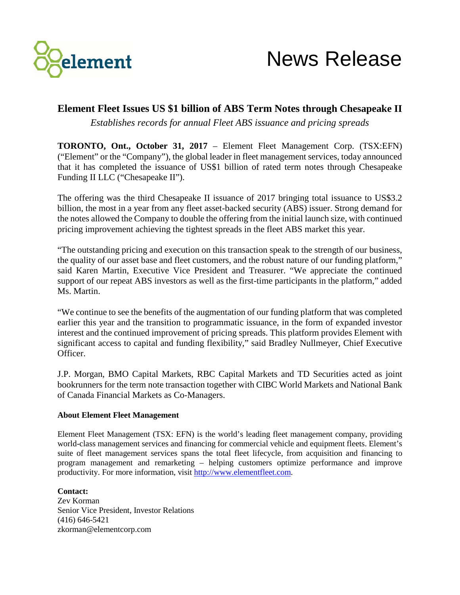

## **Element Fleet Issues US \$1 billion of ABS Term Notes through Chesapeake II**

*Establishes records for annual Fleet ABS issuance and pricing spreads*

**TORONTO, Ont., October 31, 2017** – Element Fleet Management Corp. (TSX:EFN) ("Element" or the "Company"), the global leader in fleet management services, today announced that it has completed the issuance of US\$1 billion of rated term notes through Chesapeake Funding II LLC ("Chesapeake II").

The offering was the third Chesapeake II issuance of 2017 bringing total issuance to US\$3.2 billion, the most in a year from any fleet asset-backed security (ABS) issuer. Strong demand for the notes allowed the Company to double the offering from the initial launch size, with continued pricing improvement achieving the tightest spreads in the fleet ABS market this year.

"The outstanding pricing and execution on this transaction speak to the strength of our business, the quality of our asset base and fleet customers, and the robust nature of our funding platform," said Karen Martin, Executive Vice President and Treasurer. "We appreciate the continued support of our repeat ABS investors as well as the first-time participants in the platform," added Ms. Martin.

"We continue to see the benefits of the augmentation of our funding platform that was completed earlier this year and the transition to programmatic issuance, in the form of expanded investor interest and the continued improvement of pricing spreads. This platform provides Element with significant access to capital and funding flexibility," said Bradley Nullmeyer, Chief Executive Officer.

J.P. Morgan, BMO Capital Markets, RBC Capital Markets and TD Securities acted as joint bookrunners for the term note transaction together with CIBC World Markets and National Bank of Canada Financial Markets as Co-Managers.

## **About Element Fleet Management**

Element Fleet Management (TSX: EFN) is the world's leading fleet management company, providing world-class management services and financing for commercial vehicle and equipment fleets. Element's suite of fleet management services spans the total fleet lifecycle, from acquisition and financing to program management and remarketing – helping customers optimize performance and improve productivity. For more information, visit [http://www.elementfleet.com.](http://www.elementfleet.com/)

**Contact:**

Zev Korman Senior Vice President, Investor Relations (416) 646-5421 zkorman@elementcorp.com